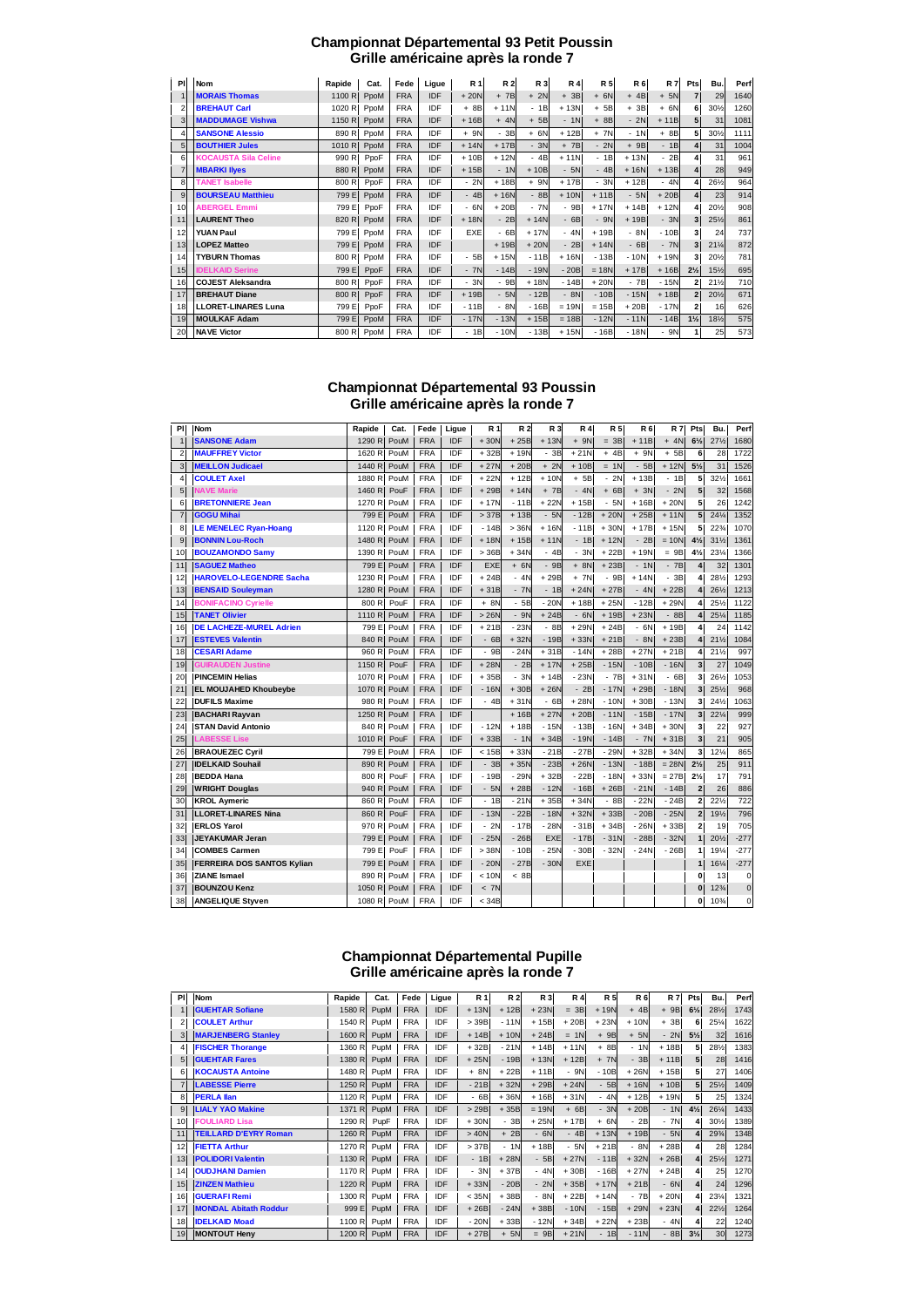#### **Championnat Départemental 93 Petit Poussin Grille américaine après la ronde 7**

| PI | Nom                         | Rapide | Cat. | Fede       | Ligue      | <b>R1</b> | <b>R2</b> | R 3    | R <sub>4</sub> | <b>R5</b> | <b>R6</b> | <b>R7</b> | Pts            | Bu.             | Perf |
|----|-----------------------------|--------|------|------------|------------|-----------|-----------|--------|----------------|-----------|-----------|-----------|----------------|-----------------|------|
|    | <b>MORAIS Thomas</b>        | 1100 R | PpoM | <b>FRA</b> | IDF        | $+20N$    | $+7B$     | $+ 2N$ | $+3B$          | $+ 6N$    | $+4B$     | $+ 5N$    |                | 29              | 1640 |
| 2  | <b>BREHAUT Carl</b>         | 1020 R | PpoM | <b>FRA</b> | IDF        | $+8B$     | $+11N$    | $-1B$  | $+13N$         | $+ 5B$    | $+3B$     | $+ 6N$    | 6              | 30%             | 1260 |
| 3  | <b>MADDUMAGE Vishwa</b>     | 1150 R | PpoM | <b>FRA</b> | <b>IDF</b> | $+16B$    | $+ 4N$    | $+ 5B$ | $-1N$          | $+8B$     | $-2N$     | $+11B$    |                | 31              | 1081 |
| 4  | <b>SANSONE Alessio</b>      | 890 R  | PpoM | <b>FRA</b> | IDF        | $+ 9N$    | $-3B$     | $+ 6N$ | $+12B$         | $+ 7N$    | $-1N$     | $+8B$     | 5              | 30%             | 1111 |
| 5  | <b>BOUTHIER Jules</b>       | 1010 R | PpoM | <b>FRA</b> | IDF        | $+14N$    | $+17B$    | $-3N$  | $+ 7B$         | $-2N$     | $+9B$     | $-1B$     |                | 31              | 1004 |
| 6  | <b>KOCAUSTA Sila Celine</b> | 990 R  | PpoF | <b>FRA</b> | IDF        | $+10B$    | $+12N$    | $-4B$  | $+11N$         | $-1B$     | $+13N$    | $-2B$     |                | 31              | 961  |
|    | <b>MBARKI Ilyes</b>         | 880 R  | PpoM | <b>FRA</b> | <b>IDF</b> | $+15B$    | $-1N$     | $+10B$ | $-5N$          | $-4B$     | $+16N$    | $+13B$    |                | 28              | 949  |
| 8  | <b>TANET Isabelle</b>       | 800 R  | PpoF | <b>FRA</b> | IDF        | $-2N$     | $+18B$    | $+ 9N$ | $+17B$         | $-3N$     | $+12B$    | $-4N$     |                | 261/2           | 964  |
| 9  | <b>BOURSEAU Matthieu</b>    | 799 E  | PpoM | <b>FRA</b> | IDF        | $-4B$     | $+16N$    | $-8B$  | $+10N$         | $+11B$    | $-5N$     | $+20B$    |                | 23              | 914  |
| 10 | <b>ABERGEL Emmi</b>         | 799 E  | PpoF | <b>FRA</b> | IDF        | $-6N$     | $+20B$    | $-7N$  | $-9B$          | $+17N$    | $+14B$    | $+12N$    |                | 20%             | 908  |
| 11 | <b>LAURENT Theo</b>         | 820 R  | PpoM | <b>FRA</b> | IDF        | $+18N$    | $-2B$     | $+14N$ | $-6B$          | $-9N$     | $+19B$    | $-3N$     |                | 251/2           | 861  |
| 12 | <b>YUAN Paul</b>            | 799 E  | PpoM | <b>FRA</b> | IDF        | EXE       | $-6B$     | $+17N$ | $-4N$          | $+19B$    | $-8N$     | $-10B$    | 3              | 24              | 737  |
| 13 | <b>LOPEZ Matteo</b>         | 799 E  | PpoM | <b>FRA</b> | <b>IDF</b> |           | $+19B$    | $+20N$ | $-2B$          | $+14N$    | $-6B$     | $-7N$     | 3              | $21\%$          | 872  |
| 14 | <b>TYBURN Thomas</b>        | 800 R  | PpoM | <b>FRA</b> | <b>IDF</b> | $-5B$     | $+15N$    | $-11B$ | $+16N$         | $-13B$    | $-10N$    | $+19N$    |                | 20%             | 781  |
| 15 | <b>IDELKAID Serine</b>      | 799 E  | PpoF | <b>FRA</b> | IDF        | $-7N$     | $-14B$    | $-19N$ | $-20B$         | $= 18N$   | $+17B$    | $+16B$    | $2\frac{1}{2}$ | 15%             | 695  |
| 16 | <b>COJEST Aleksandra</b>    | 800 R  | PpoF | <b>FRA</b> | IDF        | $-3N$     | - 9B      | $+18N$ | $-14B$         | $+20N$    | $-7B$     | $-15N$    | $\mathbf{2}$   | $21\frac{1}{2}$ | 710  |
| 17 | <b>BREHAUT Diane</b>        | 800 R  | PpoF | <b>FRA</b> | <b>IDF</b> | $+19B$    | $-5N$     | $-12B$ | $-8N$          | $-10B$    | $-15N$    | $+18B$    | $\overline{2}$ | 20%             | 671  |
| 18 | <b>LLORET-LINARES Luna</b>  | 799 E  | PpoF | <b>FRA</b> | IDF        | $-11B$    | $-8N$     | $-16B$ | $= 19N$        | $= 15B$   | $+20B$    | $-17N$    | $\mathbf{2}$   | 16              | 626  |
| 19 | <b>MOULKAF Adam</b>         | 799 E  | PpoM | <b>FRA</b> | <b>IDF</b> | $-17N$    | $-13N$    | $+15B$ | $= 18B$        | $-12N$    | $-11N$    | $-14B$    | $1\frac{1}{2}$ | 181/2           | 575  |
| 20 | <b>NAVE Victor</b>          | 800 R  | PpoM | <b>FRA</b> | IDF        | $-1B$     | $-10N$    | $-13B$ | $+15N$         | $-16B$    | $-18N$    | $-9N$     |                | 25              | 573  |

### **Championnat Départemental 93 Poussin Grille américaine après la ronde 7**

| PI             | <b>Nom</b>                        | Rapide            | Cat. | Fede       | Ligue      | R 1        | <b>R2</b> | R 3        | <b>R4</b> | <b>R5</b> | <b>R6</b> | <b>R7</b> | Pts                     | Bu.             | Perf           |
|----------------|-----------------------------------|-------------------|------|------------|------------|------------|-----------|------------|-----------|-----------|-----------|-----------|-------------------------|-----------------|----------------|
| $\mathbf 1$    | <b>SANSONE Adam</b>               | 1290 R            | PouM | <b>FRA</b> | <b>IDF</b> | $+30N$     | $+25B$    | $+13N$     | $+ 9N$    | $= 3B$    | $+11B$    | $+ 4N$    | $6\frac{1}{2}$          | 27%             | 1680           |
| $\overline{2}$ | <b>MAUFFREY Victor</b>            | 1620 R            | PouM | <b>FRA</b> | IDF        | $+32B$     | $+19N$    | $-3B$      | $+21N$    | $+4B$     | $+9N$     | $+ 5B$    | 6                       | 28              | 1722           |
| 3              | <b>MEILLON Judicael</b>           | 1440 R            | PouM | <b>FRA</b> | IDF        | $+27N$     | $+20B$    | $+ 2N$     | $+10B$    | $= 1N$    | $-5B$     | $+12N$    | $5\frac{1}{2}$          | 31              | 1526           |
| 4              | <b>COULET Axel</b>                | 1880 R            | PouM | <b>FRA</b> | IDF        | $+22N$     | $+12B$    | $+10N$     | $+ 5B$    | $-2N$     | $+13B$    | $-1B$     | 5                       | 321/2           | 1661           |
| 5              | <b>NAVE Marie</b>                 | 1460 R            | PouF | <b>FRA</b> | IDF        | $+29B$     | $+14N$    | $+ 7B$     | $-4N$     | $+6B$     | $+3N$     | $-2N$     | 5                       | 32              | 1568           |
| 6              | <b>BRETONNIERE Jean</b>           | 1270 R            | PouM | <b>FRA</b> | IDF        | $+17N$     | $-11B$    | $+22N$     | $+15B$    | $-5N$     | $+16B$    | $+20N$    | 5                       | 26              | 1242           |
| $\overline{7}$ | <b>GOGU Mihai</b>                 | 799 E             | PouM | <b>FRA</b> | IDF        | >37B       | $+13B$    | $-5N$      | $-12B$    | $+20N$    | $+25B$    | $+11N$    | 5                       | 24%             | 1352           |
| 8              | <b>LE MENELEC Ryan-Hoang</b>      | 1120 R            | PouM | <b>FRA</b> | IDF        | $-14B$     | >36N      | $+16N$     | $-11B$    | $+30N$    | $+17B$    | $+15N$    | 5                       | $22\frac{3}{4}$ | 1070           |
| 9              | <b>BONNIN Lou-Roch</b>            | 1480 R            | PouM | <b>FRA</b> | <b>IDF</b> | $+18N$     | $+15B$    | $+11N$     | $-1B$     | $+12N$    | $-2B$     | $= 10N$   | $4\frac{1}{2}$          | $31\frac{1}{2}$ | 1361           |
| 10             | <b>BOUZAMONDO Samy</b>            | 1390 R            | PouM | <b>FRA</b> | IDF        | >36B       | $+34N$    | $-4B$      | $-3N$     | $+22B$    | $+19N$    | $= 9B$    | $4\frac{1}{2}$          | 23%             | 1366           |
| 11             | <b>SAGUEZ Matheo</b>              | 799 E             | PouM | <b>FRA</b> | <b>IDF</b> | <b>EXE</b> | $+ 6N$    | $-9B$      | $+ 8N$    | $+23B$    | $-1N$     | $-7B$     | 4                       | 32              | 1301           |
| 12             | <b>HAROVELO-LEGENDRE Sacha</b>    | 1230 R            | PouM | <b>FRA</b> | IDF        | $+24B$     | $-4N$     | $+29B$     | $+ 7N$    | $-9B$     | $+14N$    | $-3B$     | 4                       | 281/2           | 1293           |
| 13             | <b>BENSAID Souleyman</b>          | 1280 R            | PouM | <b>FRA</b> | <b>IDF</b> | $+31B$     | $-7N$     | $-1B$      | $+24N$    | $+27B$    | $-4N$     | $+22B$    | 4                       | 261/2           | 1213           |
| 14             | <b>BONIFACINO Cyrielle</b>        | 800 R             | PouF | <b>FRA</b> | IDF        | $+ 8N$     | $-5B$     | $-20N$     | $+18B$    | $+25N$    | $-12B$    | $+29N$    | 4                       | 25%             | 1122           |
| 15             | <b>TANET Olivier</b>              | 1110 R            | PouM | <b>FRA</b> | IDF        | >26N       | $-9N$     | $+24B$     | $-6N$     | $+19B$    | $+23N$    | $-8B$     | 4                       | 25%             | 1185           |
| 16             | <b>DE LACHEZE-MUREL Adrien</b>    | 799 E             | PouM | <b>FRA</b> | IDF        | $+21B$     | $-23N$    | $-8B$      | $+29N$    | $+24B$    | $-6N$     | $+19B$    | 4                       | 24              | 1142           |
| 17             | <b>ESTEVES Valentin</b>           | 840 R             | PouM | <b>FRA</b> | IDF        | $-6B$      | $+32N$    | $-19B$     | $+33N$    | $+21B$    | $-8N$     | $+23B$    | 4                       | $21\frac{1}{2}$ | 1084           |
| 18             | <b>CESARI Adame</b>               | 960 R             | PouM | <b>FRA</b> | IDF        | $-9B$      | $-24N$    | $+31B$     | $-14N$    | $+28B$    | $+27N$    | $+21B$    | 4                       | 21%             | 997            |
| 19             | <b>GUIRAUDEN Justine</b>          | 1150 R            | PouF | <b>FRA</b> | IDF        | $+28N$     | $-2B$     | $+17N$     | $+25B$    | $-15N$    | $-10B$    | $-16N$    | 3                       | 27              | 1049           |
| 20             | <b>PINCEMIN Helias</b>            | 1070 R            | PouM | <b>FRA</b> | IDF        | $+35B$     | $-3N$     | $+14B$     | $-23N$    | $-7B$     | $+31N$    | $-6B$     | 3                       | 26%             | 1053           |
| 21             | <b>EL MOUJAHED Khoubeybe</b>      | 1070 R            | PouM | <b>FRA</b> | IDF        | $-16N$     | $+30B$    | $+26N$     | $-2B$     | $-17N$    | $+29B$    | $-18N$    | 3                       | 25%             | 968            |
| 22             | <b>DUFILS Maxime</b>              | 980 R             | PouM | <b>FRA</b> | IDF        | $-4B$      | $+31N$    | $-6B$      | $+28N$    | $-10N$    | $+30B$    | $-13N$    | 3                       | 24%             | 1063           |
| 23             | <b>BACHARI Ravvan</b>             | 1250 R            | PouM | <b>FRA</b> | IDF        |            | $+16B$    | $+27N$     | $+20B$    | $-11N$    | $-15B$    | $-17N$    | 3                       | $22\frac{1}{4}$ | 999            |
| 24             | <b>STAN David Antonio</b>         | 840 R             | PouM | <b>FRA</b> | IDF        | $-12N$     | $+18B$    | $-15N$     | $-13B$    | $-16N$    | $+34B$    | $+30N$    | 3                       | 22              | 927            |
| 25             | <b>LABESSE Lise</b>               | 1010 <sub>R</sub> | PouF | <b>FRA</b> | IDF        | $+33B$     | $-1N$     | $+34B$     | $-19N$    | $-14B$    | $-7N$     | $+31B$    | 3                       | 21              | 905            |
| 26             | <b>BRAOUEZEC Cyril</b>            | 799 E             | PouM | <b>FRA</b> | IDF        | < 15B      | $+33N$    | $-21B$     | $-27B$    | $-29N$    | $+32B$    | $+34N$    | 3                       | 12%             | 865            |
| 27             | <b>IDELKAID Souhail</b>           | 890 R             | PouM | <b>FRA</b> | <b>IDF</b> | $-3B$      | $+35N$    | $-23B$     | $+26N$    | $-13N$    | $-18B$    | $= 28N$   | $2\frac{1}{2}$          | 25              | 911            |
| 28             | <b>BEDDA Hana</b>                 | 800 R             | PouF | <b>FRA</b> | IDF        | $-19B$     | $-29N$    | $+32B$     | $-22B$    | $-18N$    | $+33N$    | $= 27B$   | $2\frac{1}{2}$          | 17              | 791            |
| 29             | <b>WRIGHT Douglas</b>             | 940 R             | PouM | <b>FRA</b> | IDF        | $-5N$      | $+28B$    | $-12N$     | $-16B$    | $+26B$    | $-21N$    | $-14B$    | $\overline{2}$          | 26              | 886            |
| 30             | <b>KROL Aymeric</b>               | 860 R             | PouM | <b>FRA</b> | IDF        | $-1B$      | $-21N$    | $+35B$     | $+34N$    | $-8B$     | $-22N$    | $-24B$    | 2                       | 22%             | 722            |
| 31             | <b>LLORET-LINARES Nina</b>        | 860 R             | PouF | <b>FRA</b> | IDF        | $-13N$     | $-22B$    | $-18N$     | $+32N$    | $+33B$    | $-20B$    | $-25N$    | $\overline{\mathbf{c}}$ | 19%             | 796            |
| 32             | <b>ERLOS Yarol</b>                | 970 R             | PouM | <b>FRA</b> | IDF        | $-2N$      | $-17B$    | $-28N$     | $-31B$    | $+34B$    | $-26N$    | $+33B$    | 2                       | 19              | 705            |
| 33             | <b>JEYAKUMAR Jeran</b>            | 799 E             | PouM | <b>FRA</b> | <b>IDF</b> | $-25N$     | $-26B$    | <b>EXE</b> | $-17B$    | $-31N$    | $-28B$    | $-32N$    | $\mathbf{1}$            | 20%             | $-277$         |
| 34             | <b>COMBES Carmen</b>              | 799 E             | PouF | <b>FRA</b> | IDF        | >38N       | $-10B$    | $-25N$     | $-30B$    | $-32N$    | $-24N$    | $-26B$    | 1                       | 19%             | $-277$         |
| 35             | <b>FERREIRA DOS SANTOS Kylian</b> | 799 E             | PouM | <b>FRA</b> | IDF        | $-20N$     | $-27B$    | $-30N$     | EXE       |           |           |           | 1                       | 16%             | $-277$         |
| 36             | <b>ZIANE Ismael</b>               | 890 R             | PouM | <b>FRA</b> | IDF        | < 10N      | < 8B      |            |           |           |           |           | 0                       | 13              | $\mathbf 0$    |
| 37             | <b>BOUNZOU Kenz</b>               | 1050 R            | PouM | <b>FRA</b> | <b>IDF</b> | < 7N       |           |            |           |           |           |           | O                       | $12\frac{3}{4}$ | $\overline{0}$ |
| 38             | <b>ANGELIQUE Styven</b>           | 1080 R            | PouM | <b>FRA</b> | IDF        | $<$ 34B    |           |            |           |           |           |           | 0                       | 10%             | $\mathbf 0$    |

### **Championnat Départemental Pupille Grille américaine après la ronde 7**

| PI | <b>Nom</b>                   | Rapide | Cat. | Fede       | Ligue      | R 1     | <b>R2</b> | <b>R3</b> | R 4    | R <sub>5</sub> | <b>R6</b> | <b>R7</b> | Pts            | Bu.             | Perf |
|----|------------------------------|--------|------|------------|------------|---------|-----------|-----------|--------|----------------|-----------|-----------|----------------|-----------------|------|
|    | <b>GUEHTAR Sofiane</b>       | 1580 R | PupM | <b>FRA</b> | <b>IDF</b> | $+13N$  | $+12B$    | $+23N$    | $= 3B$ | $+19N$         | $+4B$     | $+9B$     | $6\frac{1}{2}$ | 281/2           | 1743 |
|    | <b>COULET Arthur</b>         | 1540 R | PupM | <b>FRA</b> | IDF        | $>$ 39B | $-11N$    | $+15B$    | $+20B$ | $+23N$         | $+10N$    | $+3B$     | 6              | 25%             | 1622 |
| 3  | <b>MARJENBERG Stanley</b>    | 1600 R | PupM | <b>FRA</b> | <b>IDF</b> | $+14B$  | $+10N$    | $+24B$    | $= 1N$ | $+9B$          | $+ 5N$    | $-2N$     | $5\%$          | 32              | 1616 |
|    | <b>FISCHER Thorange</b>      | 1360 R | PupM | <b>FRA</b> | IDF        | $+32B$  | $-21N$    | $+14B$    | $+11N$ | $+8B$          | $-1N$     | $+18B$    | 5              | 281/2           | 1383 |
| 5  | <b>GUEHTAR Fares</b>         | 1380 R | PupM | <b>FRA</b> | <b>IDF</b> | $+25N$  | $-19B$    | $+13N$    | $+12B$ | $+ 7N$         | $-3B$     | $+11B$    | 5              | 28              | 1416 |
| 6  | <b>KOCAUSTA Antoine</b>      | 1480 R | PupM | <b>FRA</b> | IDF        | $+ 8N$  | $+22B$    | $+11B$    | $-9N$  | $-10B$         | $+26N$    | $+15B$    | 5              | 27              | 1406 |
|    | <b>LABESSE Pierre</b>        | 1250 R | PupM | <b>FRA</b> | <b>IDF</b> | $-21B$  | $+32N$    | $+29B$    | $+24N$ | $-5B$          | $+16N$    | $+10B$    | 5              | 25%             | 1409 |
| 8  | <b>PERLA llan</b>            | 1120 R | PupM | <b>FRA</b> | IDF        | $-6B$   | $+36N$    | $+16B$    | $+31N$ | $-4N$          | $+12B$    | $+19N$    | 5              | 25              | 1324 |
| 9  | <b>LIALY YAO Makine</b>      | 1371 R | PupM | <b>FRA</b> | <b>IDF</b> | >29B    | $+35B$    | $= 19N$   | $+6B$  | $-3N$          | $+20B$    | $-1N$     | $4\frac{1}{2}$ | 261/4           | 1433 |
| 10 | <b>FOULIARD Lisa</b>         | 1290 R | PupF | <b>FRA</b> | IDF        | $+30N$  | $-3B$     | $+25N$    | $+17B$ | $+ 6N$         | $-2B$     | $-7N$     |                | 30%             | 1389 |
| 11 | <b>TEILLARD D'EYRY Roman</b> | 1260 R | PupM | <b>FRA</b> | <b>IDF</b> | >40N    | $+2B$     | $-6N$     | $-4B$  | $+13N$         | $+19B$    | $-5N$     |                | 29%             | 1348 |
| 12 | <b>FIETTA Arthur</b>         | 1270 R | PupM | <b>FRA</b> | IDF        | >37B    | $-1N$     | $+18B$    | $-5N$  | $+21B$         | $-8N$     | $+28B$    |                | 28              | 1284 |
| 13 | <b>POLIDORI Valentin</b>     | 1130 R | PupM | <b>FRA</b> | <b>IDF</b> | $-1B$   | $+28N$    | $-5B$     | $+27N$ | $-11B$         | $+32N$    | $+26B$    | 4              | $25\frac{1}{2}$ | 1271 |
| 14 | <b>OUDJHANI Damien</b>       | 1170 R | PupM | <b>FRA</b> | IDF        | $-3N$   | $+37B$    | $-4N$     | $+30B$ | $-16B$         | $+27N$    | $+24B$    |                | 25              | 1270 |
| 15 | <b>ZINZEN Mathieu</b>        | 1220 R | PupM | <b>FRA</b> | <b>IDF</b> | $+33N$  | $-20B$    | $-2N$     | $+35B$ | $+17N$         | $+21B$    | $-6N$     |                | 24              | 1296 |
| 16 | <b>GUERAFI Remi</b>          | 1300 R | PupM | <b>FRA</b> | IDF        | $<$ 35N | $+38B$    | $-8N$     | $+22B$ | $+14N$         | $-7B$     | $+20N$    | 4              | 231/4           | 1321 |
| 17 | <b>MONDAL Abitath Roddur</b> | 999 E  | PupM | <b>FRA</b> | <b>IDF</b> | $+26B$  | $-24N$    | $+38B$    | $-10N$ | $-15B$         | $+29N$    | $+23N$    |                | $22\frac{1}{2}$ | 1264 |
| 18 | <b>IDELKAID Moad</b>         | 1100 R | PupM | <b>FRA</b> | IDF        | $-20N$  | $+33B$    | $-12N$    | $+34B$ | $+22N$         | $+23B$    | $-4N$     |                | 22              | 1240 |
| 19 | <b>MONTOUT Henv</b>          | 1200 R | PupM | <b>FRA</b> | <b>IDF</b> | $+27B$  | $+ 5N$    | $= 9B$    | $+21N$ | $-1B$          | $-11N$    | 8B        | $3\frac{1}{2}$ | 30              | 1273 |